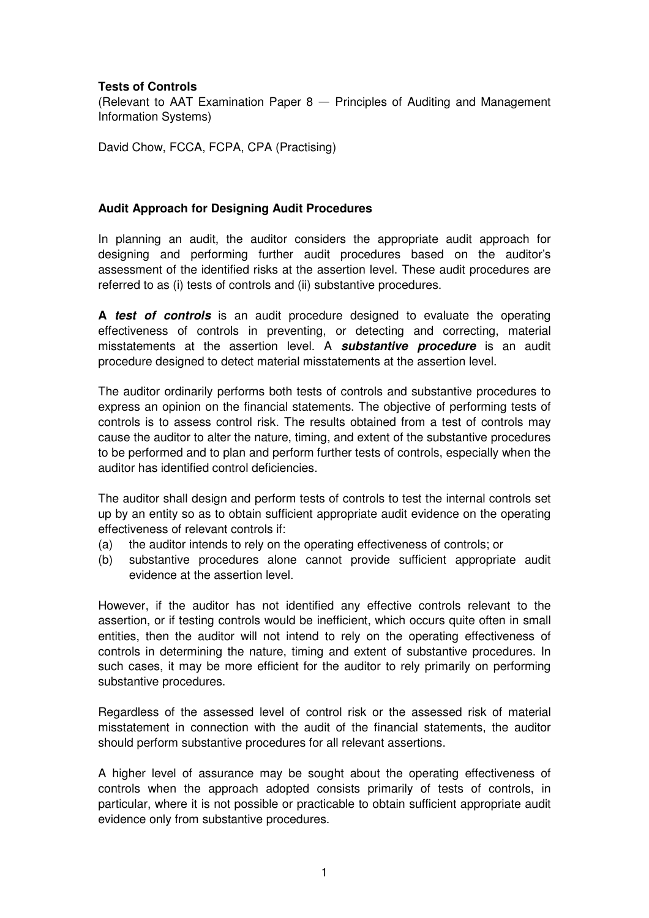## **Tests of Controls**

(Relevant to AAT Examination Paper  $8$  – Principles of Auditing and Management Information Systems)

David Chow, FCCA, FCPA, CPA (Practising)

## **Audit Approach for Designing Audit Procedures**

In planning an audit, the auditor considers the appropriate audit approach for designing and performing further audit procedures based on the auditor's assessment of the identified risks at the assertion level. These audit procedures are referred to as (i) tests of controls and (ii) substantive procedures.

**A test of controls** is an audit procedure designed to evaluate the operating effectiveness of controls in preventing, or detecting and correcting, material misstatements at the assertion level. A **substantive procedure** is an audit procedure designed to detect material misstatements at the assertion level.

The auditor ordinarily performs both tests of controls and substantive procedures to express an opinion on the financial statements. The objective of performing tests of controls is to assess control risk. The results obtained from a test of controls may cause the auditor to alter the nature, timing, and extent of the substantive procedures to be performed and to plan and perform further tests of controls, especially when the auditor has identified control deficiencies.

The auditor shall design and perform tests of controls to test the internal controls set up by an entity so as to obtain sufficient appropriate audit evidence on the operating effectiveness of relevant controls if:

- (a) the auditor intends to rely on the operating effectiveness of controls; or
- (b) substantive procedures alone cannot provide sufficient appropriate audit evidence at the assertion level.

However, if the auditor has not identified any effective controls relevant to the assertion, or if testing controls would be inefficient, which occurs quite often in small entities, then the auditor will not intend to rely on the operating effectiveness of controls in determining the nature, timing and extent of substantive procedures. In such cases, it may be more efficient for the auditor to rely primarily on performing substantive procedures.

Regardless of the assessed level of control risk or the assessed risk of material misstatement in connection with the audit of the financial statements, the auditor should perform substantive procedures for all relevant assertions.

A higher level of assurance may be sought about the operating effectiveness of controls when the approach adopted consists primarily of tests of controls, in particular, where it is not possible or practicable to obtain sufficient appropriate audit evidence only from substantive procedures.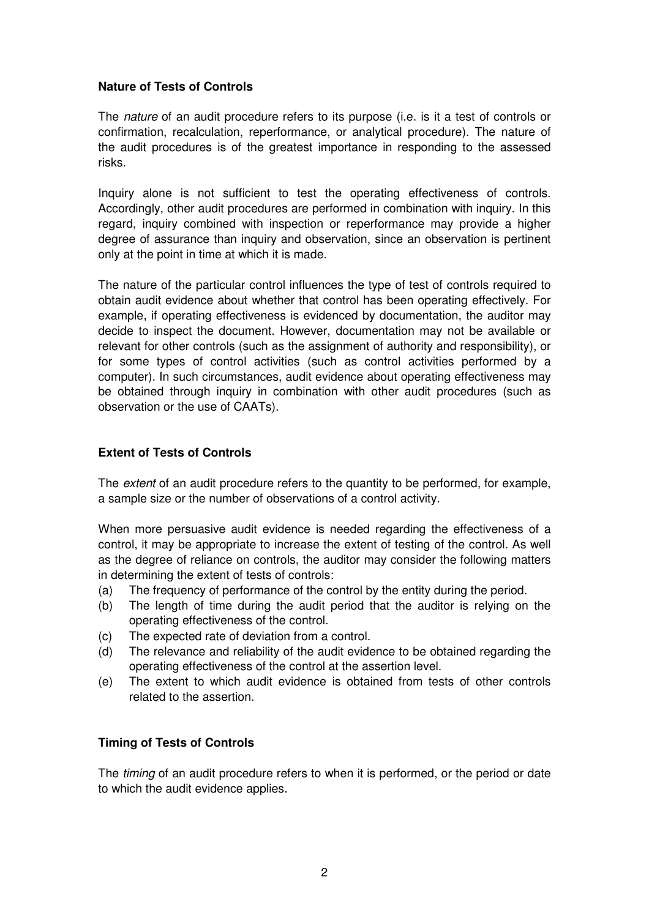## **Nature of Tests of Controls**

The *nature* of an audit procedure refers to its purpose (i.e. is it a test of controls or confirmation, recalculation, reperformance, or analytical procedure). The nature of the audit procedures is of the greatest importance in responding to the assessed risks.

Inquiry alone is not sufficient to test the operating effectiveness of controls. Accordingly, other audit procedures are performed in combination with inquiry. In this regard, inquiry combined with inspection or reperformance may provide a higher degree of assurance than inquiry and observation, since an observation is pertinent only at the point in time at which it is made.

The nature of the particular control influences the type of test of controls required to obtain audit evidence about whether that control has been operating effectively. For example, if operating effectiveness is evidenced by documentation, the auditor may decide to inspect the document. However, documentation may not be available or relevant for other controls (such as the assignment of authority and responsibility), or for some types of control activities (such as control activities performed by a computer). In such circumstances, audit evidence about operating effectiveness may be obtained through inquiry in combination with other audit procedures (such as observation or the use of CAATs).

### **Extent of Tests of Controls**

The extent of an audit procedure refers to the quantity to be performed, for example, a sample size or the number of observations of a control activity.

When more persuasive audit evidence is needed regarding the effectiveness of a control, it may be appropriate to increase the extent of testing of the control. As well as the degree of reliance on controls, the auditor may consider the following matters in determining the extent of tests of controls:

- (a) The frequency of performance of the control by the entity during the period.
- (b) The length of time during the audit period that the auditor is relying on the operating effectiveness of the control.
- (c) The expected rate of deviation from a control.
- (d) The relevance and reliability of the audit evidence to be obtained regarding the operating effectiveness of the control at the assertion level.
- (e) The extent to which audit evidence is obtained from tests of other controls related to the assertion.

# **Timing of Tests of Controls**

The *timing* of an audit procedure refers to when it is performed, or the period or date to which the audit evidence applies.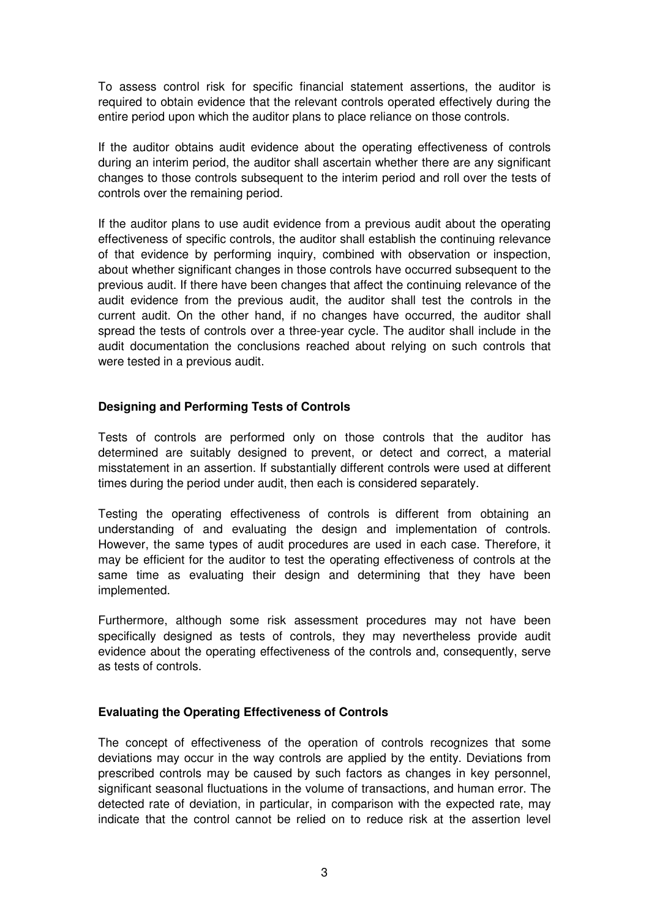To assess control risk for specific financial statement assertions, the auditor is required to obtain evidence that the relevant controls operated effectively during the entire period upon which the auditor plans to place reliance on those controls.

If the auditor obtains audit evidence about the operating effectiveness of controls during an interim period, the auditor shall ascertain whether there are any significant changes to those controls subsequent to the interim period and roll over the tests of controls over the remaining period.

If the auditor plans to use audit evidence from a previous audit about the operating effectiveness of specific controls, the auditor shall establish the continuing relevance of that evidence by performing inquiry, combined with observation or inspection, about whether significant changes in those controls have occurred subsequent to the previous audit. If there have been changes that affect the continuing relevance of the audit evidence from the previous audit, the auditor shall test the controls in the current audit. On the other hand, if no changes have occurred, the auditor shall spread the tests of controls over a three-year cycle. The auditor shall include in the audit documentation the conclusions reached about relying on such controls that were tested in a previous audit.

## **Designing and Performing Tests of Controls**

Tests of controls are performed only on those controls that the auditor has determined are suitably designed to prevent, or detect and correct, a material misstatement in an assertion. If substantially different controls were used at different times during the period under audit, then each is considered separately.

Testing the operating effectiveness of controls is different from obtaining an understanding of and evaluating the design and implementation of controls. However, the same types of audit procedures are used in each case. Therefore, it may be efficient for the auditor to test the operating effectiveness of controls at the same time as evaluating their design and determining that they have been implemented.

Furthermore, although some risk assessment procedures may not have been specifically designed as tests of controls, they may nevertheless provide audit evidence about the operating effectiveness of the controls and, consequently, serve as tests of controls.

# **Evaluating the Operating Effectiveness of Controls**

The concept of effectiveness of the operation of controls recognizes that some deviations may occur in the way controls are applied by the entity. Deviations from prescribed controls may be caused by such factors as changes in key personnel, significant seasonal fluctuations in the volume of transactions, and human error. The detected rate of deviation, in particular, in comparison with the expected rate, may indicate that the control cannot be relied on to reduce risk at the assertion level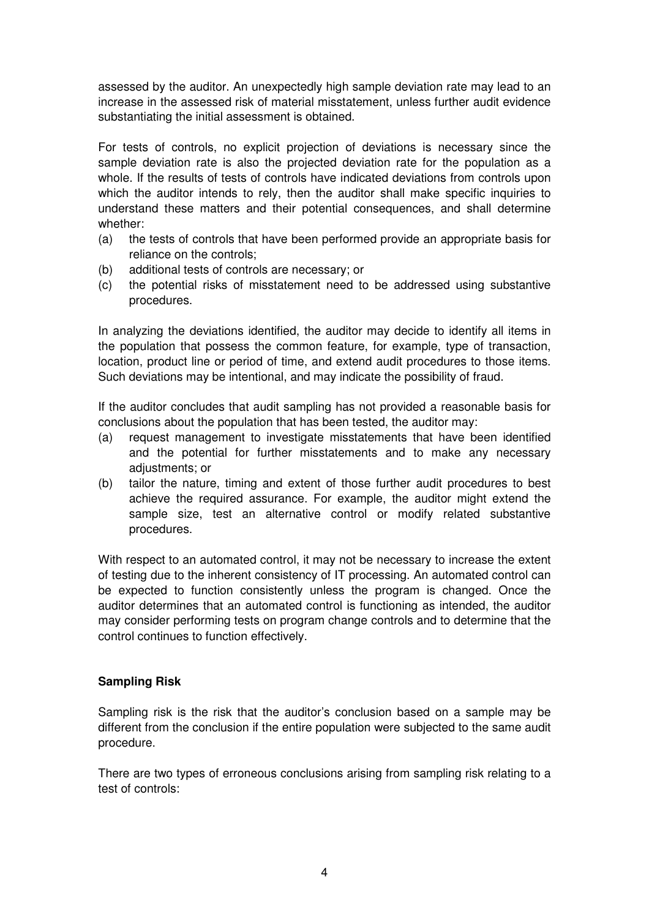assessed by the auditor. An unexpectedly high sample deviation rate may lead to an increase in the assessed risk of material misstatement, unless further audit evidence substantiating the initial assessment is obtained.

For tests of controls, no explicit projection of deviations is necessary since the sample deviation rate is also the projected deviation rate for the population as a whole. If the results of tests of controls have indicated deviations from controls upon which the auditor intends to rely, then the auditor shall make specific inquiries to understand these matters and their potential consequences, and shall determine whether:

- (a) the tests of controls that have been performed provide an appropriate basis for reliance on the controls;
- (b) additional tests of controls are necessary; or
- (c) the potential risks of misstatement need to be addressed using substantive procedures.

In analyzing the deviations identified, the auditor may decide to identify all items in the population that possess the common feature, for example, type of transaction, location, product line or period of time, and extend audit procedures to those items. Such deviations may be intentional, and may indicate the possibility of fraud.

If the auditor concludes that audit sampling has not provided a reasonable basis for conclusions about the population that has been tested, the auditor may:

- (a) request management to investigate misstatements that have been identified and the potential for further misstatements and to make any necessary adjustments; or
- (b) tailor the nature, timing and extent of those further audit procedures to best achieve the required assurance. For example, the auditor might extend the sample size, test an alternative control or modify related substantive procedures.

With respect to an automated control, it may not be necessary to increase the extent of testing due to the inherent consistency of IT processing. An automated control can be expected to function consistently unless the program is changed. Once the auditor determines that an automated control is functioning as intended, the auditor may consider performing tests on program change controls and to determine that the control continues to function effectively.

# **Sampling Risk**

Sampling risk is the risk that the auditor's conclusion based on a sample may be different from the conclusion if the entire population were subjected to the same audit procedure.

There are two types of erroneous conclusions arising from sampling risk relating to a test of controls: